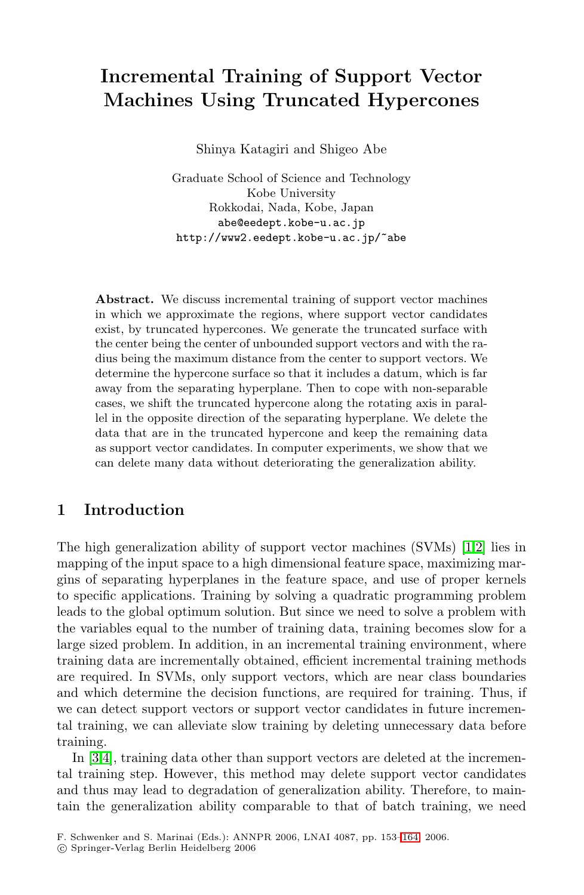# **Incremental Training of Support Vector Machines Using Truncated Hypercones**

Shinya Katagiri and Shigeo Abe

Graduate School of Science and Technology Kobe University Rokkodai, Nada, Kobe, Japan abe@eedept.kobe-u.ac.jp http://www2.eedept.kobe-u.ac.jp/~abe

**Abstract.** We discuss incremental training of support vector machines in which we approximate the regions, where support vector candidates exist, by truncated hypercones. We generate the truncated surface with the center being the center of unbounded support vectors and with the radius being the maximum distance from the center to support vectors. We determine the hypercone surface so that it includes a datum, which is far away from the separating hyperplane. Then to cope with non-separable cases, we shift the truncated hypercone along the rotating axis in parallel in the opposite direction of the separating h[y](#page-11-0)[pe](#page-11-1)rplane. We delete the data that are in the truncated hypercone and keep the remaining data as support vector candidates. In computer experiments, we show that we can delete many data without deteriorating the generalization ability.

# **1 Introduction**

The high generalization ability of support vector machines (SVMs) [1,2] lies in mapping of the input space to a high dimensional feature space, maximizing margins of separating hyperplanes in the feature space, and use of proper kernels to specific applications. Training by solving a quadratic programming problem leads to the global optimum solution. But since we need to solve a problem with the variables equal to the number of training data, training becomes slow for a large sized problem. In addition, in an incremental training environment, where training data are incrementally obtained, efficient incremental training methods are required. In SVMs, only support vectors, which are near class boundaries and which determine the decision functions, are required for training. Thus, if we can detect support vectors or supp[ort v](#page-11-2)ector candidates in future incremental training, we can alleviate slow training by deleting unnecessary data before training.

In [3,4], training data other than support vectors are deleted at the incremental training step. However, this method may delete support vector candidates and thus may lead to degradation of generalization ability. Therefore, to maintain the generalization ability comparable to that of batch training, we need

F. Schwenker and S. Marinai (Eds.): ANNPR 2006, LNAI 4087, pp. 153–164, 2006.

<sup>-</sup>c Springer-Verlag Berlin Heidelberg 2006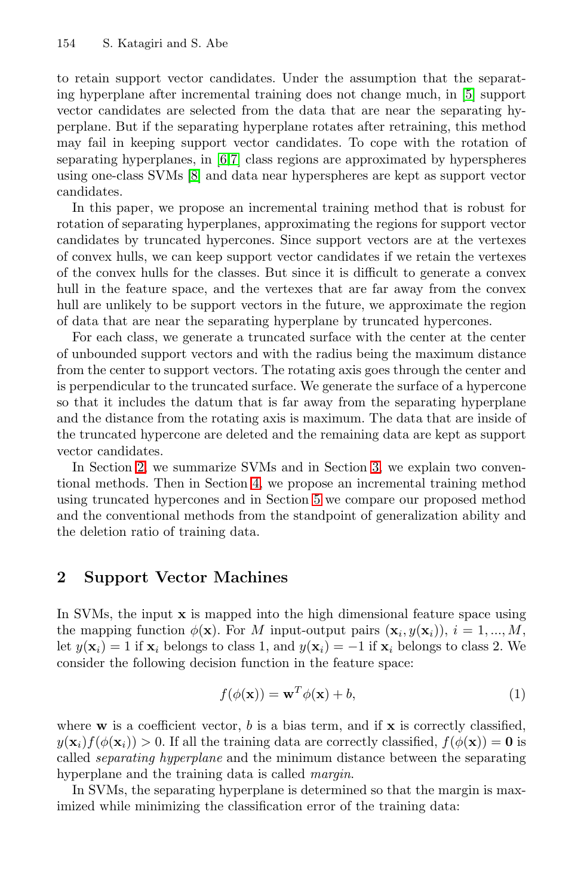to retain support vector candidates. Under the assumption that the separating hyperplane after incremental training does not change much, in [5] support vector candidates are selected from the data that are near the separating hyperplane. But if the separating hyperplane rotates after retraining, this method may fail in keeping support vector candidates. To cope with the rotation of separating hyperplanes, in [6,7] class regions are approximated by hyperspheres using one-class SVMs [8] and data near hyperspheres are kept as support vector candidates.

In this paper, we propose an incremental training method that is robust for rotation of separating hyperplanes, approximating the regions for support vector candidates by truncated hypercones. Since support vectors are at the vertexes of convex hulls, we can keep support vector candidates if we retain the vertexes of the convex hulls for the classes. But since it is difficult to generate a convex hull in the feature space, and the vertexes that are far away from the convex hull are unlikely to be support vectors in the future, we approximate the region of data that are near the separating hyperplane by truncated hypercones.

For each class, we generate a t[run](#page-3-0)cated surface with the center at the center of unbounded [su](#page-3-1)pport vectors and with the radius being the maximum distance from the center to suppo[rt](#page-8-0) vectors. The rotating axis goes through the center and is perpendicular to the truncated surface. We generate the surface of a hypercone so that it includes the datum that is far away from the separating hyperplane and the distance from the rotating axis is maximum. The data that are inside of the truncated hypercone are deleted and the remaining data are kept as support vector candidates.

In Section 2, we summarize SVMs and in Section 3, we explain two conventional methods. Then in Section 4, we propose an incremental training method using truncated hypercones and in Section 5 we compare our proposed method and the conventional methods from the standpoint of generalization ability and the deletion ratio of training data.

# **2 Support Vector Machines**

In SVMs, the input **x** is mapped into the high dimensional feature space using the mapping function  $\phi(\mathbf{x})$ . For M input-output pairs  $(\mathbf{x}_i, y(\mathbf{x}_i))$ ,  $i = 1, ..., M$ , let  $y(\mathbf{x}_i) = 1$  if  $\mathbf{x}_i$  belongs to class 1, and  $y(\mathbf{x}_i) = -1$  if  $\mathbf{x}_i$  belongs to class 2. We consider the following decision function in the feature space:

$$
f(\phi(\mathbf{x})) = \mathbf{w}^T \phi(\mathbf{x}) + b,\tag{1}
$$

where **w** is a coefficient vector, b is a bias term, and if  $\bf{x}$  is correctly classified,  $y(\mathbf{x}_i) f(\phi(\mathbf{x}_i)) > 0$ . If all the training data are correctly classified,  $f(\phi(\mathbf{x})) = \mathbf{0}$  is called *separating hyperplane* and the minimum distance between the separating hyperplane and the training data is called *margin*.

In SVMs, the separating hyperplane is determined so that the margin is maximized while minimizing the classification error of the training data: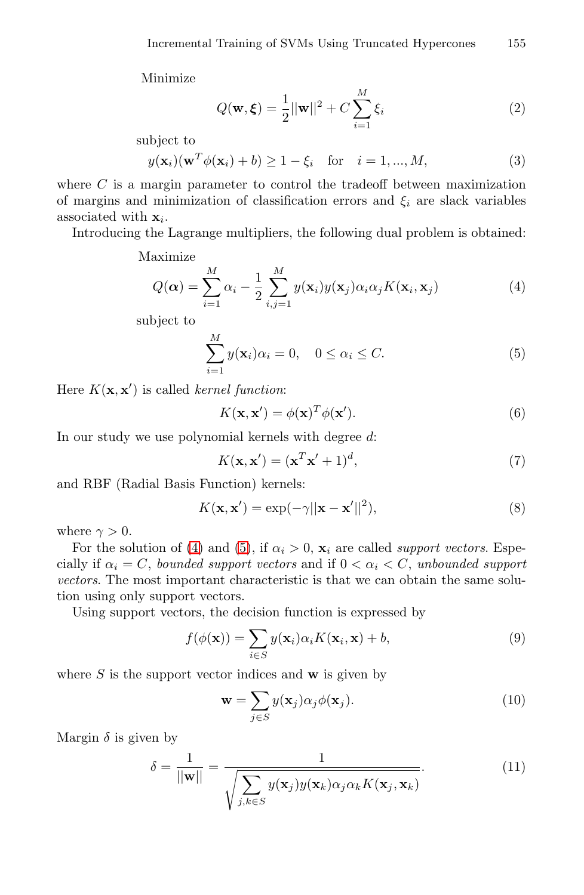Minimize

$$
Q(\mathbf{w}, \xi) = \frac{1}{2} ||\mathbf{w}||^2 + C \sum_{i=1}^{M} \xi_i
$$
 (2)

subject to

$$
y(\mathbf{x}_i)(\mathbf{w}^T\phi(\mathbf{x}_i) + b) \ge 1 - \xi_i \quad \text{for} \quad i = 1, ..., M,
$$
 (3)

where  $C$  is a margin parameter to control the tradeoff between maximization of margins and minimization of classification errors and ξ*<sup>i</sup>* are slack variables associated with **x***i*.

Introducing the Lagrange multipliers, the following dual problem is obtained:

Maximize

$$
Q(\boldsymbol{\alpha}) = \sum_{i=1}^{M} \alpha_i - \frac{1}{2} \sum_{i,j=1}^{M} y(\mathbf{x}_i) y(\mathbf{x}_j) \alpha_i \alpha_j K(\mathbf{x}_i, \mathbf{x}_j)
$$
(4)

subject to

$$
\sum_{i=1}^{M} y(\mathbf{x}_i) \alpha_i = 0, \quad 0 \le \alpha_i \le C.
$$
 (5)

Here  $K(\mathbf{x}, \mathbf{x}')$  is called *kernel function*:

$$
K(\mathbf{x}, \mathbf{x}') = \phi(\mathbf{x})^T \phi(\mathbf{x}'). \tag{6}
$$

In our study we use polynomial kernels with degree d:

$$
K(\mathbf{x}, \mathbf{x}') = (\mathbf{x}^T \mathbf{x}' + 1)^d,\tag{7}
$$

and RBF (Radial Basis Function) kernels:

$$
K(\mathbf{x}, \mathbf{x}') = \exp(-\gamma ||\mathbf{x} - \mathbf{x}'||^2),\tag{8}
$$

where  $\gamma > 0$ .

For the solution of (4) and (5), if  $\alpha_i > 0$ ,  $\mathbf{x}_i$  are called *support vectors*. Especially if  $\alpha_i = C$ , *bounded support vectors* and if  $0 < \alpha_i < C$ , *unbounded support vectors*. The most important characteristic is that we can obtain the same solution using only support vectors.

Using support vectors, the decision function is expressed by

$$
f(\phi(\mathbf{x})) = \sum_{i \in S} y(\mathbf{x}_i) \alpha_i K(\mathbf{x}_i, \mathbf{x}) + b,
$$
\n(9)

where  $S$  is the support vector indices and **w** is given by

$$
\mathbf{w} = \sum_{j \in S} y(\mathbf{x}_j) \alpha_j \phi(\mathbf{x}_j). \tag{10}
$$

Margin  $\delta$  is given by

$$
\delta = \frac{1}{||\mathbf{w}||} = \frac{1}{\sqrt{\sum_{j,k \in S} y(\mathbf{x}_j) y(\mathbf{x}_k) \alpha_j \alpha_k K(\mathbf{x}_j, \mathbf{x}_k)}}.
$$
(11)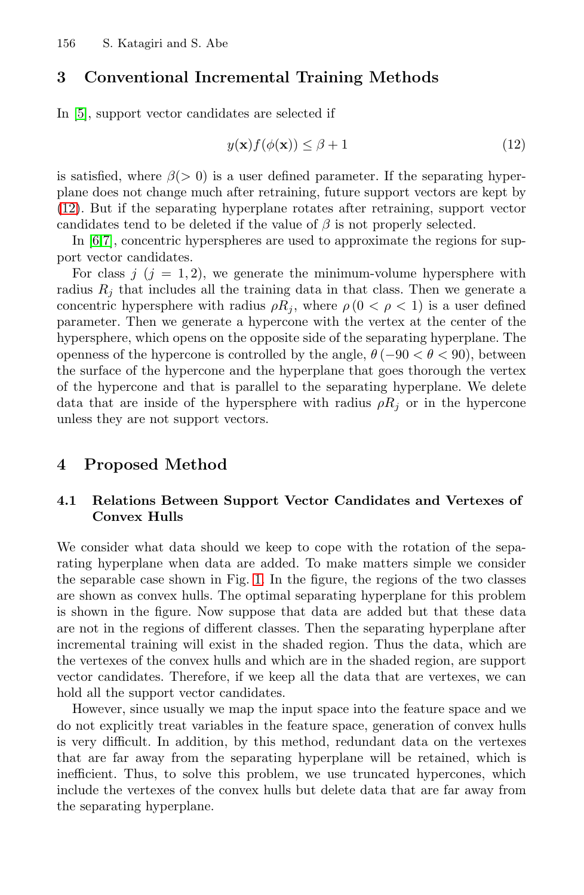# <span id="page-3-0"></span>**3 Conventional Incremental Training Methods**

In [5], support vector candidates are selected if

$$
y(\mathbf{x})f(\phi(\mathbf{x})) \le \beta + 1\tag{12}
$$

is satisfied, where  $\beta$ (> 0) is a user defined parameter. If the separating hyperplane does not change much after retraining, future support vectors are kept by (12). But if the separating hyperplane rotates after retraining, support vector candidates tend to be deleted if the value of  $\beta$  is not properly selected.

In [6,7], concentric hyperspheres are used to approximate the regions for support vector candidates.

<span id="page-3-1"></span>For class  $j$  ( $j = 1, 2$ ), we generate the minimum-volume hypersphere with radius  $R_i$  that includes all the training data in that class. Then we generate a concentric hypersphere with radius  $\rho R_j$ , where  $\rho (0 < \rho < 1)$  is a user defined parameter. Then we generate a hypercone with the vertex at the center of the hypersphere, which opens on the opposite side of the separating hyperplane. The openness of the hypercone is controlled by the angle,  $\theta$  (−90 <  $\theta$  < 90), between the surface of the hypercone and the hyperplane that goes thorough the vertex of the hypercone and that is parallel to the separating hyperplane. We delete data that are inside of the hypersphere with radius  $\rho R_i$  or in the hypercone unless they are not support vectors.

# **4 Propos[ed](#page-4-0) Method**

# **4.1 Relations Between Support Vector Candidates and Vertexes of Convex Hulls**

We consider what data should we keep to cope with the rotation of the separating hyperplane when data are added. To make matters simple we consider the separable case shown in Fig. 1. In the figure, the regions of the two classes are shown as convex hulls. The optimal separating hyperplane for this problem is shown in the figure. Now suppose that data are added but that these data are not in the regions of different classes. Then the separating hyperplane after incremental training will exist in the shaded region. Thus the data, which are the vertexes of the convex hulls and which are in the shaded region, are support vector candidates. Therefore, if we keep all the data that are vertexes, we can hold all the support vector candidates.

However, since usually we map the input space into the feature space and we do not explicitly treat variables in the feature space, generation of convex hulls is very difficult. In addition, by this method, redundant data on the vertexes that are far away from the separating hyperplane will be retained, which is inefficient. Thus, to solve this problem, we use truncated hypercones, which include the vertexes of the convex hulls but delete data that are far away from the separating hyperplane.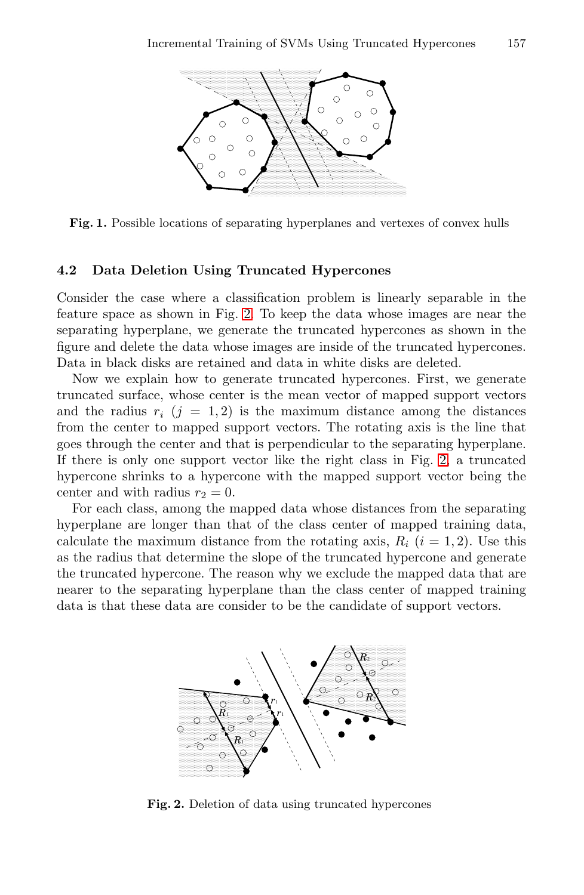

<span id="page-4-0"></span>**Fig. 1.** Possible locations of separating hyperplanes and vertexes of convex hulls

### **4.2 Data Deletion Using Truncated Hypercones**

Consider the case where a classification problem is linearly separable in the feature space as shown in Fig. 2. To keep the data whose images are near the separating hyperplane, we generate the trun[ca](#page-4-1)ted hypercones as shown in the figure and delete the data whose images are inside of the truncated hypercones. Data in black disks are retained and data in white disks are deleted.

Now we explain how to generate truncated hypercones. First, we generate truncated surface, whose center is the mean vector of mapped support vectors and the radius  $r_i$  ( $j = 1, 2$ ) is the maximum distance among the distances from the center to mapped support vectors. The rotating axis is the line that goes through the center and that is perpendicular to the separating hyperplane. If there is only one support vector like the right class in Fig. 2, a truncated hypercone shrinks to a hypercone with the mapped support vector being the center and with radius  $r_2 = 0$ .

For each class, among the mapped data whose distances from the separating hyperplane are longer than that of the class center of mapped training data, calculate the maximum distance from the rotating axis,  $R_i$  ( $i = 1, 2$ ). Use this as the radius that determine the slope of the truncated hypercone and generate the truncated hypercone. The reason why we exclude the mapped data that are nearer to the separating hyperplane than the class center of mapped training data is that these data are consider to be the candidate of support vectors.

<span id="page-4-1"></span>

**Fig. 2.** Deletion of data using truncated hypercones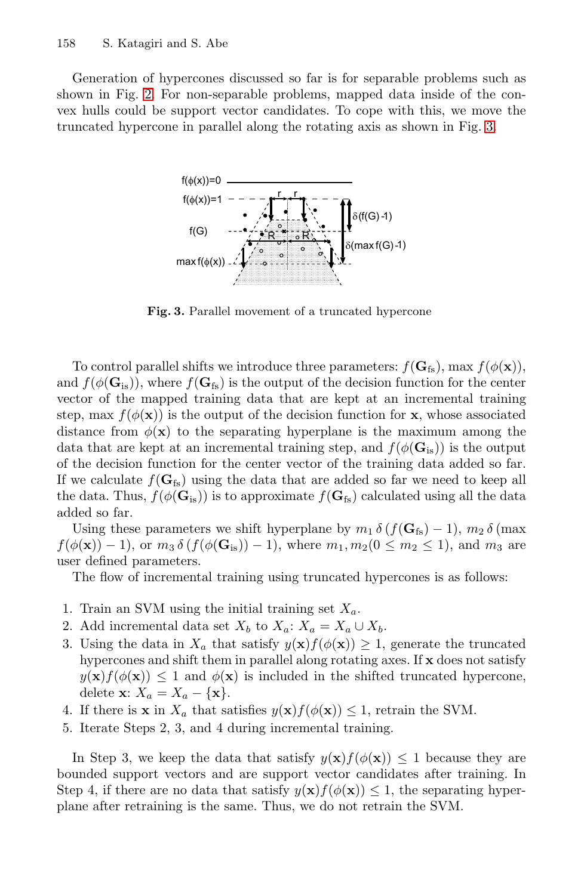Generation of hypercones discussed so far is for separable problems such as shown in Fig. 2. For non-separable problems, mapped data inside of the convex hulls could be support vector candidates. To cope with this, we move the truncated hypercone in parallel along the rotating axis as shown in Fig. 3.



**Fig. 3.** Parallel movement of a truncated hypercone

To control parallel shifts we introduce three parameters:  $f(\mathbf{G}_{\text{fs}})$ , max  $f(\phi(\mathbf{x}))$ , and  $f(\phi(\mathbf{G}_{is}))$ , where  $f(\mathbf{G}_{fs})$  is the output of the decision function for the center vector of the mapped training data that are kept at an incremental training step, max  $f(\phi(\mathbf{x}))$  is the output of the decision function for **x**, whose associated distance from  $\phi(\mathbf{x})$  to the separating hyperplane is the maximum among the data that are kept at an incremental training step, and  $f(\phi(\mathbf{G}_{is}))$  is the output of the decision function for the center vector of the training data added so far. If we calculate  $f(\mathbf{G}_{fs})$  using the data that are added so far we need to keep all the data. Thus,  $f(\phi(\mathbf{G}_{is}))$  is to approximate  $f(\mathbf{G}_{fs})$  calculated using all the data added so far.

Using these parameters we shift hyperplane by  $m_1 \delta (f(\mathbf{G}_{fs}) - 1), m_2 \delta (max$  $f(\phi(\mathbf{x})) - 1$ , or  $m_3 \delta(f(\phi(\mathbf{G}_{is})) - 1)$ , where  $m_1, m_2(0 \le m_2 \le 1)$ , and  $m_3$  are user defined parameters.

The flow of incremental training using truncated hypercones is as follows:

- 1. Train an SVM using the initial training set X*a*.
- 2. Add incremental data set  $X_b$  to  $X_a$ :  $X_a = X_a \cup X_b$ .
- 3. Using the data in  $X_a$  that satisfy  $y(\mathbf{x})f(\phi(\mathbf{x})) \geq 1$ , generate the truncated hypercones and shift them in parallel along rotating axes. If **x** does not satisfy  $y(\mathbf{x})f(\phi(\mathbf{x})) \leq 1$  and  $\phi(\mathbf{x})$  is included in the shifted truncated hypercone, delete **x**:  $X_a = X_a - {\mathbf{x}}$ .
- 4. If there is **x** in  $X_a$  that satisfies  $y(\mathbf{x})f(\phi(\mathbf{x})) \leq 1$ , retrain the SVM.
- 5. Iterate Steps 2, 3, and 4 during incremental training.

In Step 3, we keep the data that satisfy  $y(\mathbf{x})f(\phi(\mathbf{x})) \leq 1$  because they are bounded support vectors and are support vector candidates after training. In Step 4, if there are no data that satisfy  $y(\mathbf{x})f(\phi(\mathbf{x})) \leq 1$ , the separating hyperplane after retraining is the same. Thus, we do not retrain the SVM.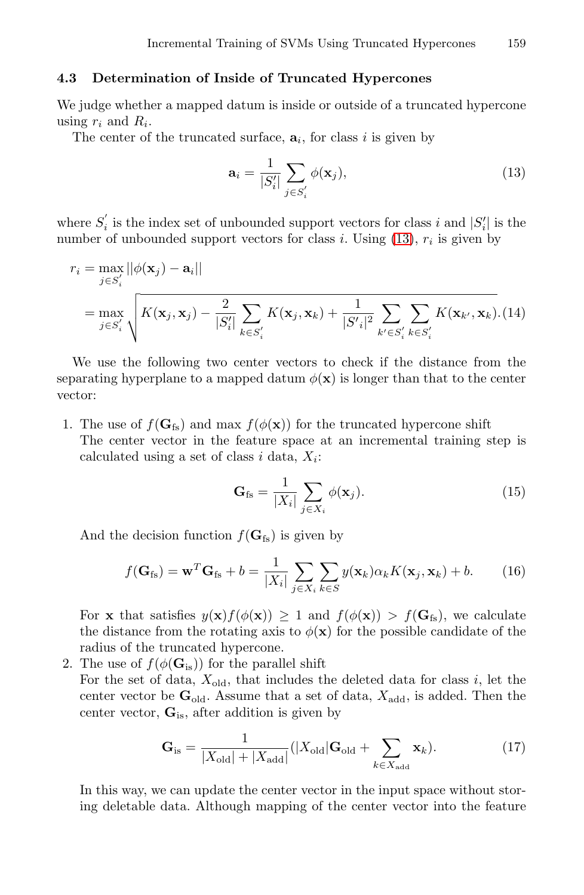## <span id="page-6-0"></span>**4.3 Determination of Inside of Truncated Hypercones**

We judge whether a mapped datum is [insi](#page-6-0)de or outside of a truncated hypercone using  $r_i$  and  $R_i$ .

The center of the truncated surface,  $a_i$ , for class i is given by

$$
\mathbf{a}_{i} = \frac{1}{|S'_{i}|} \sum_{j \in S'_{i}} \phi(\mathbf{x}_{j}), \qquad (13)
$$

where  $S_i$  is the index set of unbounded support vectors for class i and  $|S_i|$  is the number of unbounded support vectors for class i. Using  $(13)$ ,  $r_i$  is given by

$$
r_{i} = \max_{j \in S'_{i}} ||\phi(\mathbf{x}_{j}) - \mathbf{a}_{i}||
$$
  
= 
$$
\max_{j \in S'_{i}} \sqrt{K(\mathbf{x}_{j}, \mathbf{x}_{j}) - \frac{2}{|S'_{i}|} \sum_{k \in S'_{i}} K(\mathbf{x}_{j}, \mathbf{x}_{k}) + \frac{1}{|S'_{i}|^{2}} \sum_{k' \in S'_{i}} \sum_{k \in S'_{i}} K(\mathbf{x}_{k'}, \mathbf{x}_{k})}. (14)
$$

We use the following two center vectors to check if the distance from the separating hyperplane to a mapped datum  $\phi(\mathbf{x})$  is longer than that to the center vector:

1. The use of  $f(\mathbf{G}_{fs})$  and max  $f(\phi(\mathbf{x}))$  for the truncated hypercone shift The center vector in the feature space at an incremental training step is calculated using a set of class i data, X*i*:

$$
\mathbf{G}_{\text{fs}} = \frac{1}{|X_i|} \sum_{j \in X_i} \phi(\mathbf{x}_j). \tag{15}
$$

And the decision function  $f(\mathbf{G}_{\text{fs}})$  is given by

$$
f(\mathbf{G}_{\text{fs}}) = \mathbf{w}^T \mathbf{G}_{\text{fs}} + b = \frac{1}{|X_i|} \sum_{j \in X_i} \sum_{k \in S} y(\mathbf{x}_k) \alpha_k K(\mathbf{x}_j, \mathbf{x}_k) + b.
$$
 (16)

For **x** that satisfies  $y(\mathbf{x})f(\phi(\mathbf{x})) \geq 1$  and  $f(\phi(\mathbf{x})) > f(\mathbf{G}_{fs})$ , we calculate the distance from the rotating axis to  $\phi(\mathbf{x})$  for the possible candidate of the radius of the truncated hypercone.

2. The use of  $f(\phi(\mathbf{G}_{is}))$  for the parallel shift

For the set of data,  $X_{old}$ , that includes the deleted data for class i, let the center vector be  $\mathbf{G}_{old}$ . Assume that a set of data,  $X_{add}$ , is added. Then the center vector, **G**is, after addition is given by

$$
\mathbf{G}_{\rm is} = \frac{1}{|X_{\rm old}| + |X_{\rm add}|} (|X_{\rm old}|\mathbf{G}_{\rm old} + \sum_{k \in X_{\rm add}} \mathbf{x}_k). \tag{17}
$$

In this way, we can update the center vector in the input space without storing deletable data. Although mapping of the center vector into the feature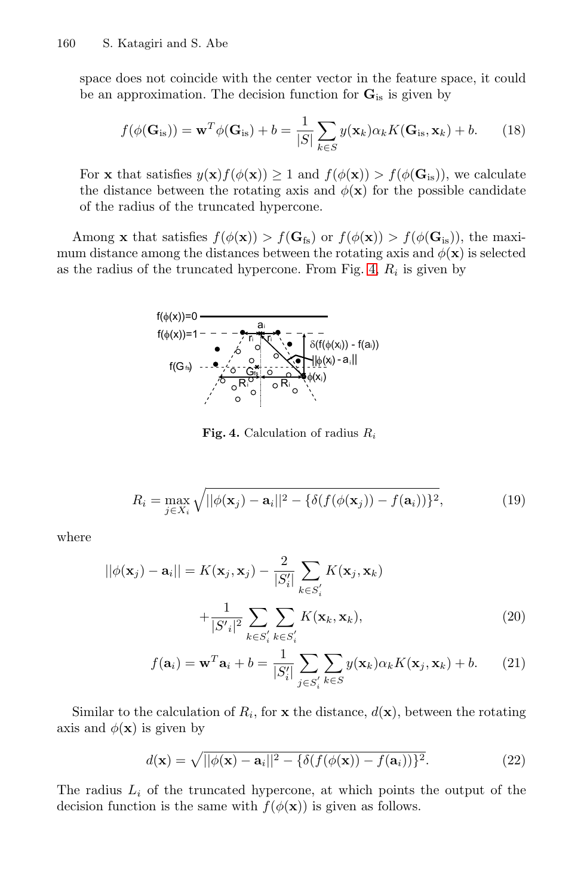space does not coincide with the center vector in the feature space, it could be an approximation. The decision function for **G**is is given by

$$
f(\phi(\mathbf{G}_{\text{is}})) = \mathbf{w}^T \phi(\mathbf{G}_{\text{is}}) + b = \frac{1}{|S|} \sum_{k \in S} y(\mathbf{x}_k) \alpha_k K(\mathbf{G}_{\text{is}}, \mathbf{x}_k) + b. \tag{18}
$$

For **x** that satisfies  $y(\mathbf{x})f(\phi(\mathbf{x})) \ge 1$  and  $f(\phi(\mathbf{x})) > f(\phi(\mathbf{G}_{is}))$ , we calculate the distance between the rotating axis and  $\phi(\mathbf{x})$  for the possible candidate of the radius of the truncated hypercone.

Among **x** that satisfies  $f(\phi(\mathbf{x})) > f(\mathbf{G}_{fs})$  or  $f(\phi(\mathbf{x})) > f(\phi(\mathbf{G}_{is}))$ , the maximum distance among the distances between the rotating axis and  $\phi(\mathbf{x})$  is selected as the radius of the truncated hypercone. From Fig. 4, R*<sup>i</sup>* is given by



**Fig. 4.** Calculation of radius <sup>R</sup>*<sup>i</sup>*

$$
R_i = \max_{j \in X_i} \sqrt{||\phi(\mathbf{x}_j) - \mathbf{a}_i||^2 - \{\delta(f(\phi(\mathbf{x}_j)) - f(\mathbf{a}_i))\}^2},\tag{19}
$$

where

$$
||\phi(\mathbf{x}_j) - \mathbf{a}_i|| = K(\mathbf{x}_j, \mathbf{x}_j) - \frac{2}{|S'_i|} \sum_{k \in S'_i} K(\mathbf{x}_j, \mathbf{x}_k)
$$

$$
+ \frac{1}{|S'_i|^2} \sum_{k \in S'_i} \sum_{k \in S'_i} K(\mathbf{x}_k, \mathbf{x}_k), \tag{20}
$$

$$
f(\mathbf{a}_i) = \mathbf{w}^T \mathbf{a}_i + b = \frac{1}{|S'_i|} \sum_{j \in S'_i} \sum_{k \in S} y(\mathbf{x}_k) \alpha_k K(\mathbf{x}_j, \mathbf{x}_k) + b. \tag{21}
$$

Similar to the calculation of  $R_i$ , for **x** the distance,  $d(\mathbf{x})$ , between the rotating axis and  $\phi(\mathbf{x})$  is given by

$$
d(\mathbf{x}) = \sqrt{||\phi(\mathbf{x}) - \mathbf{a}_i||^2 - \{\delta(f(\phi(\mathbf{x})) - f(\mathbf{a}_i))\}^2}.
$$
 (22)

The radius L*<sup>i</sup>* of the truncated hypercone, at which points the output of the decision function is the same with  $f(\phi(\mathbf{x}))$  is given as follows.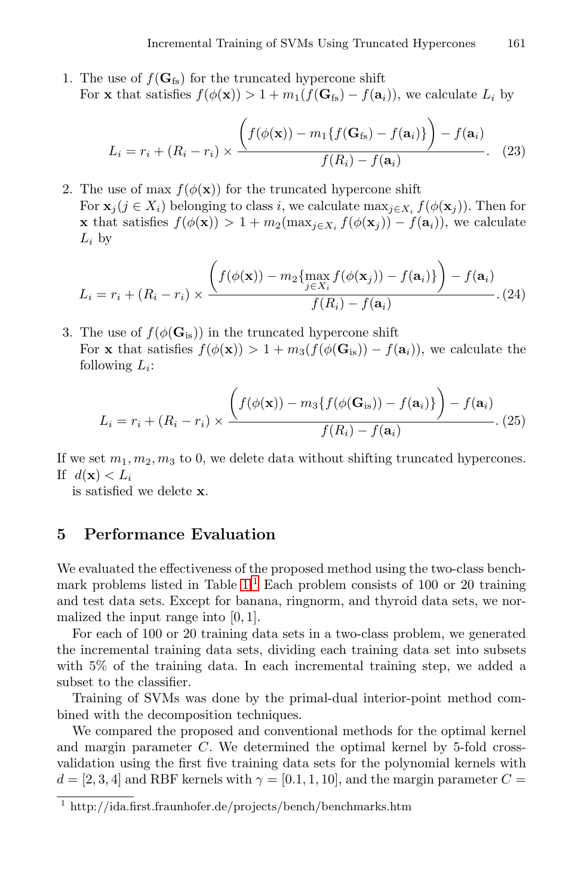1. The use of  $f(\mathbf{G}_{fs})$  for the truncated hypercone shift

For **x** that satisfies  $f(\phi(\mathbf{x})) > 1 + m_1(f(\mathbf{G}_f)-f(\mathbf{a}_i))$ , we calculate  $L_i$  by

$$
L_i = r_i + (R_i - r_i) \times \frac{\left(f(\phi(\mathbf{x})) - m_1\{f(\mathbf{G}_{fs}) - f(\mathbf{a}_i)\}\right) - f(\mathbf{a}_i)}{f(R_i) - f(\mathbf{a}_i)}.
$$
 (23)

2. The use of max  $f(\phi(\mathbf{x}))$  for the truncated hypercone shift For  $\mathbf{x}_j$  ( $j \in X_i$ ) belonging to class i, we calculate max $j \in X_i$ ,  $f(\phi(\mathbf{x}_j))$ . Then for **x** that satisfies  $f(\phi(\mathbf{x})) > 1 + m_2(\max_{j \in X_i} f(\phi(\mathbf{x}_j)) - f(\mathbf{a}_i))$ , we calculate  $L_i$  by

$$
L_i = r_i + (R_i - r_i) \times \frac{\left(f(\phi(\mathbf{x})) - m_2 \{\max_{j \in X_i} f(\phi(\mathbf{x}_j)) - f(\mathbf{a}_i)\}\right) - f(\mathbf{a}_i)}{f(R_i) - f(\mathbf{a}_i)}.\tag{24}
$$

3. The use of  $f(\phi(\mathbf{G}_{is}))$  in the truncated hypercone shift For **x** that satisfies  $f(\phi(\mathbf{x})) > 1 + m_3(f(\phi(\mathbf{G}_{is})) - f(\mathbf{a}_i))$ , we calculate the following L*i*:

$$
L_i = r_i + (R_i - r_i) \times \frac{\left(f(\phi(\mathbf{x})) - m_3\{f(\phi(\mathbf{G}_{is})) - f(\mathbf{a}_i)\}\right) - f(\mathbf{a}_i)}{f(R_i) - f(\mathbf{a}_i)}.
$$
(25)

<span id="page-8-0"></span>If we set  $m_1, m_2, m_3$  $m_1, m_2, m_3$  $m_1, m_2, m_3$  $m_1, m_2, m_3$  to 0, we delete data without shifting truncated hypercones. If  $d(\mathbf{x}) < L_i$ 

is satisfied we delete **x**.

# **5 Performance Evaluation**

We evaluated the effectiveness of the proposed method using the two-class benchmark problems listed in Table  $1<sup>1</sup>$  Each problem consists of 100 or 20 training and test data sets. Except for banana, ringnorm, and thyroid data sets, we normalized the input range into [0, 1].

For each of 100 or 20 training data sets in a two-class problem, we generated the incremental training data sets, dividing each training data set into subsets with 5% of the training data. In each incremental training step, we added a subset to the classifier.

<span id="page-8-1"></span>Training of SVMs was done by the primal-dual interior-point method combined with the decomposition techniques.

We compared the proposed and conventional methods for the optimal kernel and margin parameter C. We determined the optimal kernel by 5-fold crossvalidation using the first five training data sets for the polynomial kernels with  $d = [2, 3, 4]$  and RBF kernels with  $\gamma = [0.1, 1, 10]$ , and the margin parameter  $C =$ 

<sup>1</sup> http://ida.first.fraunhofer.de/projects/bench/benchmarks.htm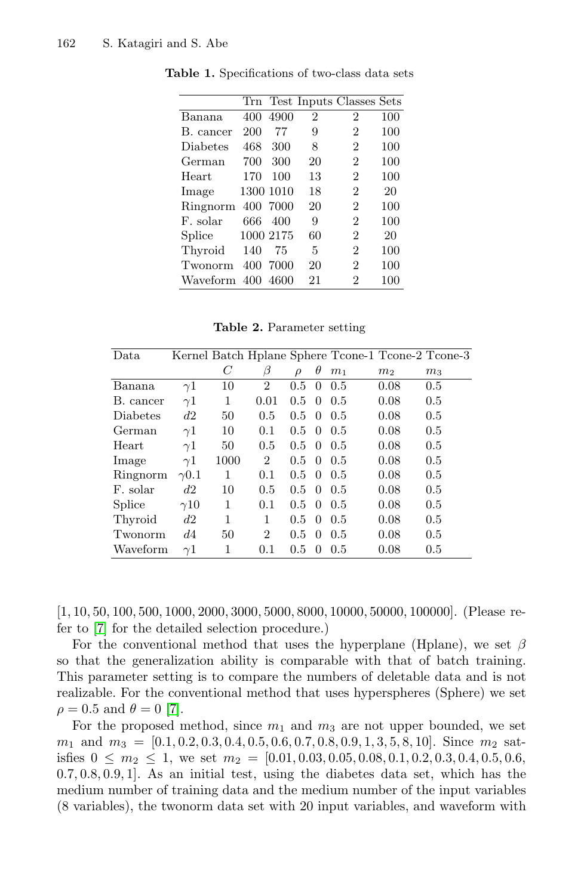<span id="page-9-0"></span>**Table 1.** Specifications of two-class data sets

|                 |     |           |                | Trn Test Inputs Classes Sets |     |
|-----------------|-----|-----------|----------------|------------------------------|-----|
| Banana          | 400 | 4900      | $\overline{2}$ | 2                            | 100 |
| B. cancer       | 200 | 77        | 9              | 2                            | 100 |
| <b>Diabetes</b> | 468 | 300       | 8              | 2                            | 100 |
| German          | 700 | 300       | 20             | 2                            | 100 |
| Heart           | 170 | 100       | 13             | 2                            | 100 |
| Image           |     | 1300 1010 | 18             | 2                            | 20  |
| Ringnorm        | 400 | 7000      | 20             | $\overline{2}$               | 100 |
| F. solar        | 666 | 400       | 9              | 2                            | 100 |
| Splice          |     | 1000 2175 | 60             | 2                            | 20  |
| Thyroid         | 140 | 75        | 5              | 2                            | 100 |
| Twonorm         | 400 | 7000      | 20             | 2                            | 100 |
| Waveform        | 400 | 4600      | 21             | 2                            | 100 |

**Table 2.** Parameter setting

| Data            |              |      |                |        |                  |                |                | Kernel Batch Hplane Sphere Tcone-1 Tcone-2 Tcone-3 |
|-----------------|--------------|------|----------------|--------|------------------|----------------|----------------|----------------------------------------------------|
|                 |              | C    | β              | $\rho$ | $\theta$         | m <sub>1</sub> | m <sub>2</sub> | m <sub>3</sub>                                     |
| Banana          | $\gamma$ 1   | 10   | $\overline{2}$ | 0.5    | $\Omega$         | 0.5            | 0.08           | 0.5                                                |
| B. cancer       | $\gamma$ 1   | 1    | 0.01           | 0.5    | $\theta$         | 0.5            | 0.08           | 0.5                                                |
| <b>Diabetes</b> | d2           | 50   | 0.5            | 0.5    | $\theta$         | 0.5            | 0.08           | 0.5                                                |
| German          | $\gamma$ 1   | 10   | 0.1            | 0.5    | $\theta$         | 0.5            | 0.08           | 0.5                                                |
| Heart           | $\gamma$ 1   | 50   | 0.5            | 0.5    | $\Omega$         | 0.5            | 0.08           | 0.5                                                |
| Image           | $\gamma$ 1   | 1000 | $\overline{2}$ | 0.5    | $\Omega$         | 0.5            | 0.08           | 0.5                                                |
| Ringnorm        | $\gamma$ 0.1 | 1    | 0.1            | 0.5    | $\Omega$         | 0.5            | 0.08           | 0.5                                                |
| F. solar        | d2           | 10   | 0.5            | 0.5    | $\Omega$         | 0.5            | 0.08           | 0.5                                                |
| <b>Splice</b>   | $\gamma$ 10  | 1    | 0.1            | 0.5    | $\Omega$         | 0.5            | 0.08           | 0.5                                                |
| Thyroid         | d2           | 1    | 1              | 0.5    | $\Omega$         | 0.5            | 0.08           | 0.5                                                |
| Twonorm         | d4           | 50   | $\overline{2}$ | 0.5    | $\Omega$         | 0.5            | 0.08           | 0.5                                                |
| Waveform        | $\gamma$ 1   | 1    | 0.1            | 0.5    | $\left( \right)$ | 0.5            | 0.08           | 0.5                                                |

[1, 10, 50, 100, 500, 1000, 2000, 3000, 5000, 8000, 10000, 50000, 100000]. (Please refer to [7] for the detailed selection procedure.)

For the conventional method that uses the hyperplane (Hplane), we set  $\beta$ so that the generalization ability is comparable with that of batch training. This parameter setting is to compare the numbers of deletable data and is not realizable. For the conventional method that uses hyperspheres (Sphere) we set  $\rho = 0.5$  and  $\theta = 0$  [7].

For the proposed method, since  $m_1$  and  $m_3$  are not upper bounded, we set  $m_1$  and  $m_3 = [0.1, 0.2, 0.3, 0.4, 0.5, 0.6, 0.7, 0.8, 0.9, 1, 3, 5, 8, 10]$ . Since  $m_2$  satisfies  $0 \le m_2 \le 1$ , we set  $m_2 = [0.01, 0.03, 0.05, 0.08, 0.1, 0.2, 0.3, 0.4, 0.5, 0.6,$  $(0.7, 0.8, 0.9, 1]$ . As an initial test, using the diabetes data set, which has the medium number of training data and the medium number of the input variables (8 variables), the twonorm data set with 20 input variables, and waveform with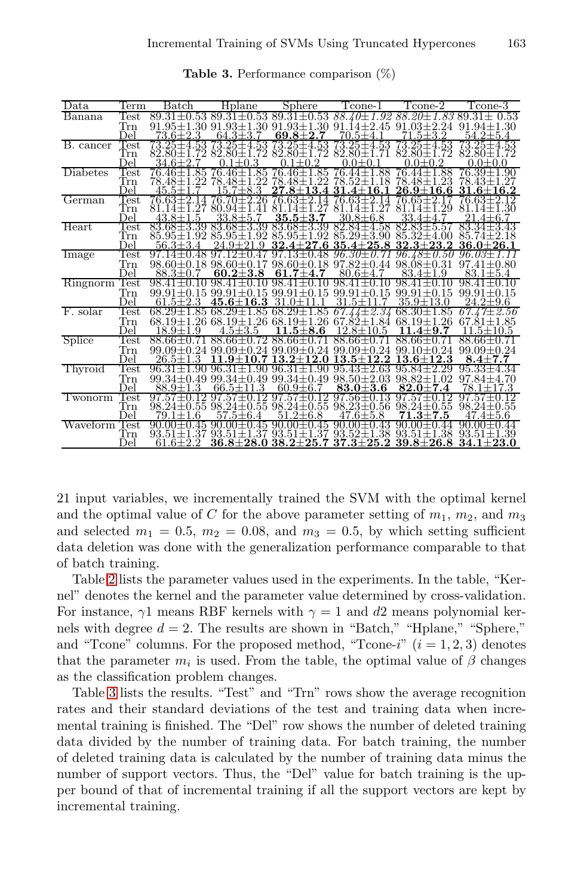| $\overline{\text{Data}}$ | Term                        | Batch                                         | Hplane                                | Sphere                                             | Tcone-1                                                             | $T$ cone-2                               | $Toone-3$                                                                                             |
|--------------------------|-----------------------------|-----------------------------------------------|---------------------------------------|----------------------------------------------------|---------------------------------------------------------------------|------------------------------------------|-------------------------------------------------------------------------------------------------------|
| Banana                   | Test                        |                                               |                                       |                                                    |                                                                     |                                          | $89.31 \pm 0.53$ $89.31 \pm 0.53$ $89.31 \pm 0.53$ $88.40 \pm 1.92$ $88.20 \pm 1.83$ $89.31 \pm 0.53$ |
|                          | Trn                         |                                               |                                       | $91.95 \pm 1.30$ $91.93 \pm 1.30$ $91.93 \pm 1.30$ | $91.14 + 2.45$                                                      | $91.03 \pm 2.24$                         | $91.94 + 1.30$                                                                                        |
|                          | Del                         | 73.<br>.6+2.3                                 | $3 + 3.7$<br>64                       | $69.8 + 2.7$                                       | 70.                                                                 | $5 + 3.2$                                |                                                                                                       |
| B. cancer                | Test                        | 73.25+4.53                                    | $73.25 \pm 4.53$                      | 73.25±4.53                                         | $73.25 \pm 4.53$                                                    | $73.25 + 4.53$                           | 73.25+4.53                                                                                            |
|                          | Trn                         |                                               |                                       |                                                    | $82.80 \pm 1.72$ $82.80 \pm 1.72$ $82.80 \pm 1.72$ $82.80 \pm 1.71$ | $82.80 \pm 1.72$                         | 82.80+1.72                                                                                            |
|                          | Del                         | .85                                           | $+1.85$                               | $\cup$<br>$+0$                                     | $0.0 + 0.$<br>.44+1.88                                              | .0+0.2<br>$^{\circ}$                     | $0.0 + 0.0$<br>.90                                                                                    |
| Diabetes                 | <b>Test</b><br>$_{\rm Trn}$ | 76.4<br>78.48                                 | .22<br>.48                            | 76.46±1.85<br>.22<br>78.48                         | 76.<br>$78.52 \pm 1.18$                                             | .88<br>76.<br>44<br>. 23<br>78.48        |                                                                                                       |
|                          | Del                         | 45.5                                          | 3<br>$+8$<br>5                        | $27.8 \!\pm\! 13.4$                                | 31<br>$\pm 16.1$                                                    | $26.9 + 16.6$                            | 31                                                                                                    |
| German                   | Test                        | 76.63<br>-14                                  | $.70 + 2.26$<br>76.                   | 76.63+2.14                                         | 76.63+2.14                                                          | $76.65 + 2.$                             | 76.63                                                                                                 |
|                          | $_{\rm Trn}$                | $+1.27\,$<br>81.                              | $80.94 + 1$<br>.41                    | 81.<br>$4 + 1.27$                                  | $81.14 + 1.27$                                                      | $4 + 1.29$<br>81                         | 81.<br>30                                                                                             |
|                          | Del                         | $43.8 + 1$<br>.5                              | $33.8 + 5$                            | $35.5 \pm 3.7$                                     | $30.8 + 6.8$                                                        | 33                                       | 21                                                                                                    |
| Heart                    | Test                        | +3.39<br>83.68                                | 83.68±3.39                            | 83.68±3.39                                         | 82.84±<br>4.58                                                      | 82<br>b.b.                               | 83                                                                                                    |
|                          | $_{\rm Trn}$                |                                               |                                       | $85.95 \pm 1.92$ $85.95 \pm 1.92$ $85.95 \pm 1.92$ | $85.29 \pm 3.90$                                                    | $85.32 \pm 4.00$                         | $85.74 {\pm} 2.18$                                                                                    |
|                          | DeI                         | $56.3 + 3.4$                                  | 24.9+21.9                             | $32.4 + 27.6$                                      | $35.4 {\pm} 25.8$                                                   | $32.3 {\pm} 23.2$                        | 36.0<br>$\bf+26.1$                                                                                    |
| Image                    | Test                        | 97.14±0.48                                    | $97.12 \pm 0.47$                      | $97.13 \pm 0.48$                                   | $96.30 \pm 0.71$                                                    | $96.48 \pm 0.50$                         | 96.03+                                                                                                |
|                          | Trn<br>Del                  | $98.60 + 0.18$ $98.60 + 0.17$<br>$88.3 + 0.7$ |                                       | $98.60 \pm 0.18$<br>$61.7 + 4.7$                   | 97.82±0.44                                                          | $98.08\pm$<br>0.31                       | $97.41 + 0.80$<br>83.                                                                                 |
|                          | Test                        | 98.41<br>$+0.10$                              | $60.2 {\pm} 3.8$<br>$98.41 + 0.10$    | $98.41 + 0.10$                                     | $80.6 + 4.7$<br>98.41                                               | 83<br>98<br>$+()$                        | $+5$<br>98.41<br>±0.10                                                                                |
| Ringnorm                 | Trn                         | $99.91 \pm 0.15$                              | $99.91 \pm 0.15$                      | $99.91 + 0.15$                                     | $99.91 + 0.15$                                                      | . 10<br>99.91<br>.15                     | 99.91                                                                                                 |
|                          | Del                         | 61                                            | $45.6 + 16.3$                         |                                                    |                                                                     | 35.9                                     | 24.                                                                                                   |
| F. solar                 | $\operatorname{Test}$       | 68.29±1.85                                    | 68<br>.85                             | $68.29+$<br>.85                                    | $\pm 2.34$<br>67                                                    | 68.30<br>85                              | $7\pm2.56$<br>67.                                                                                     |
|                          | $_{\rm Trn}$                |                                               | 68.19+1.26.68.19+1.26                 | $68.19 + 1.26$                                     | .84<br>67.82+1                                                      | 68.19<br>26                              | 67.81+1.85                                                                                            |
|                          | Del                         | 18.9+1.9                                      | $4.5 + 3.5$                           | $5 + 8.6$                                          | $\cdot$                                                             |                                          |                                                                                                       |
| Splice                   | Test                        | 88.66+0.71                                    | 88.66+0.72                            | 88.66+0                                            | 88.66+0                                                             | 88.66+                                   | $88.66{\pm}0$                                                                                         |
|                          | Trn                         | $99.09 + 0.24$                                | $99.09 \pm 0.24$                      | $99.09 + 0.$<br>24                                 | $99.09 + 0$                                                         | 99.1                                     | $99.09 + 0.24$                                                                                        |
|                          | Del                         | 26.5+1                                        | 7                                     | 13.2<br>12                                         | З.<br>2                                                             | З.<br>2.3                                | 8.4<br>$\pm 7.7$                                                                                      |
| Thyroid                  | <b>Test</b>                 | 96.31<br>.90                                  | 96.31<br>$+1.90$                      | 96.31<br>.90                                       | $95.43 + 2.63$                                                      | 95.84<br>29                              | $95.33+$<br>.34                                                                                       |
|                          | Trn                         | $99.34 + 0.49$                                | $99.34 + 0.49$                        | $99.34 + 0.49$                                     | $98.50 + 2.03$                                                      | $98.82+$<br>.02                          | $97.84 + 4$<br>70                                                                                     |
|                          | Del                         | 88.9+1.3                                      | $66.5+$                               | 60.9+6.7                                           | $83.0 + 3.6$                                                        | $82.0 + 7.4$                             | 78                                                                                                    |
| Twonorm                  | $\operatorname{Test}$       | 97.57+0                                       | $+$                                   | 12<br>$97.57 \pm 0.$                               | 97.<br>13<br>.56+0.                                                 | 97<br>12<br>.57+                         | 97.<br>.57±0                                                                                          |
|                          | $_{\rm Trn}$                | $98.24 \pm 0.55$                              | $98.24 \pm 0.55$                      | $98.24 \pm 0.55$                                   | $98.23 \pm 0.56$                                                    | $98.24 \pm 0.55$                         | $98.24 \pm 0.55$                                                                                      |
| Waveform                 | Del<br><b>Test</b>          | 79.1<br>$90.00 + 0.45$                        | $57.5 \!\pm\! 6.4$<br>90.<br>.00±0.45 | .2 $\pm6.8$<br>51<br>$90.00 \pm 0.45$              | $47.6 \!\pm\! 5.8$<br>$90.00 \pm 0.43$                              | .3±<br>7.5<br>71<br>$90.00 \pm 0$<br>.44 | 47.4+5<br>6<br>90.00<br>$+0.44$                                                                       |
|                          | $_{\rm Trn}$                | $93.51 \pm 1.37$                              |                                       | $93.51 \pm 1.37$ $93.51 \pm 1.37$ $93.52 \pm 1.38$ |                                                                     | $93.51 \pm 1.38$                         | $93.51 \pm 1.39$                                                                                      |
|                          | Del                         | $.6 + 2.$<br>61<br>$\cdot$                    | $36.8 {\pm} 28.0$                     | $38.2 {\pm} 25.7$                                  | $37.3 \pm 25.2$                                                     | $39.8 \pm 26.8$                          | 34.1<br>$\pm 23.0$                                                                                    |
|                          |                             |                                               |                                       |                                                    |                                                                     |                                          |                                                                                                       |

**Table 3.** Performance comparison (%)

21 input variables, we incrementally trained the SVM with the optimal kernel and the optimal value of C for the above parameter setting of  $m_1$ ,  $m_2$ , and  $m_3$ and selected  $m_1 = 0.5$ ,  $m_2 = 0.08$ , and  $m_3 = 0.5$ , by which setting sufficient data deletion was done with the generalization performance comparable to that of batch training.

Table 2 lists the parameter values used in the experiments. In the table, "Kernel" denotes the kernel and the parameter value determined by cross-validation. For instance,  $\gamma$ 1 means RBF kernels with  $\gamma = 1$  and d2 means polynomial kernels with degree  $d = 2$ . The results are shown in "Batch," "Hplane," "Sphere," and "Tcone" columns. For the proposed method, "Tcone-i"  $(i = 1, 2, 3)$  denotes that the parameter  $m_i$  is used. From the table, the optimal value of  $\beta$  changes as the classification problem changes.

Table 3 lists the results. "Test" and "Trn" rows show the average recognition rates and their standard deviations of the test and training data when incremental training is finished. The "Del" row shows the number of deleted training data divided by the number of training data. For batch training, the number of deleted training data is calculated by the number of training data minus the number of support vectors. Thus, the "Del" value for batch training is the upper bound of that of incremental training if all the support vectors are kept by incremental training.